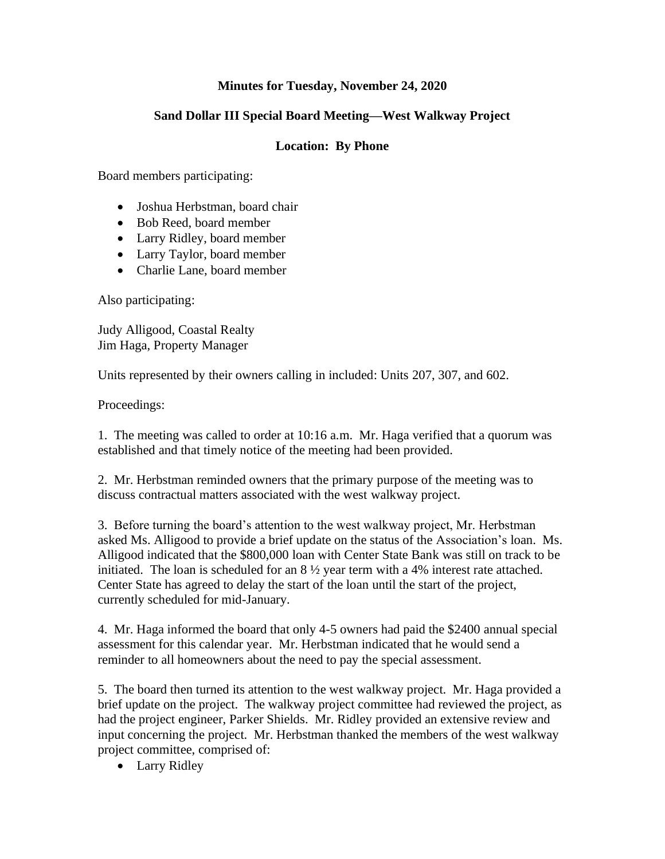## **Minutes for Tuesday, November 24, 2020**

## **Sand Dollar III Special Board Meeting—West Walkway Project**

## **Location: By Phone**

Board members participating:

- Joshua Herbstman, board chair
- Bob Reed, board member
- Larry Ridley, board member
- Larry Taylor, board member
- Charlie Lane, board member

Also participating:

Judy Alligood, Coastal Realty Jim Haga, Property Manager

Units represented by their owners calling in included: Units 207, 307, and 602.

Proceedings:

1. The meeting was called to order at 10:16 a.m. Mr. Haga verified that a quorum was established and that timely notice of the meeting had been provided.

2. Mr. Herbstman reminded owners that the primary purpose of the meeting was to discuss contractual matters associated with the west walkway project.

3. Before turning the board's attention to the west walkway project, Mr. Herbstman asked Ms. Alligood to provide a brief update on the status of the Association's loan. Ms. Alligood indicated that the \$800,000 loan with Center State Bank was still on track to be initiated. The loan is scheduled for an  $8\frac{1}{2}$  year term with a 4% interest rate attached. Center State has agreed to delay the start of the loan until the start of the project, currently scheduled for mid-January.

4. Mr. Haga informed the board that only 4-5 owners had paid the \$2400 annual special assessment for this calendar year. Mr. Herbstman indicated that he would send a reminder to all homeowners about the need to pay the special assessment.

5. The board then turned its attention to the west walkway project. Mr. Haga provided a brief update on the project. The walkway project committee had reviewed the project, as had the project engineer, Parker Shields. Mr. Ridley provided an extensive review and input concerning the project. Mr. Herbstman thanked the members of the west walkway project committee, comprised of:

• Larry Ridley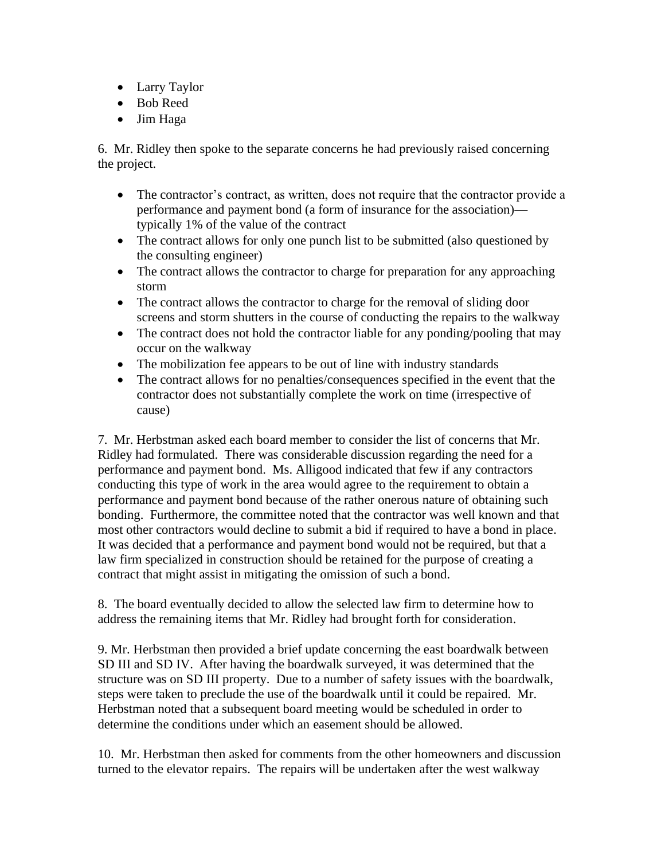- Larry Taylor
- Bob Reed
- Jim Haga

6. Mr. Ridley then spoke to the separate concerns he had previously raised concerning the project.

- The contractor's contract, as written, does not require that the contractor provide a performance and payment bond (a form of insurance for the association) typically 1% of the value of the contract
- The contract allows for only one punch list to be submitted (also questioned by the consulting engineer)
- The contract allows the contractor to charge for preparation for any approaching storm
- The contract allows the contractor to charge for the removal of sliding door screens and storm shutters in the course of conducting the repairs to the walkway
- The contract does not hold the contractor liable for any ponding/pooling that may occur on the walkway
- The mobilization fee appears to be out of line with industry standards
- The contract allows for no penalties/consequences specified in the event that the contractor does not substantially complete the work on time (irrespective of cause)

7. Mr. Herbstman asked each board member to consider the list of concerns that Mr. Ridley had formulated. There was considerable discussion regarding the need for a performance and payment bond. Ms. Alligood indicated that few if any contractors conducting this type of work in the area would agree to the requirement to obtain a performance and payment bond because of the rather onerous nature of obtaining such bonding. Furthermore, the committee noted that the contractor was well known and that most other contractors would decline to submit a bid if required to have a bond in place. It was decided that a performance and payment bond would not be required, but that a law firm specialized in construction should be retained for the purpose of creating a contract that might assist in mitigating the omission of such a bond.

8. The board eventually decided to allow the selected law firm to determine how to address the remaining items that Mr. Ridley had brought forth for consideration.

9. Mr. Herbstman then provided a brief update concerning the east boardwalk between SD III and SD IV. After having the boardwalk surveyed, it was determined that the structure was on SD III property. Due to a number of safety issues with the boardwalk, steps were taken to preclude the use of the boardwalk until it could be repaired. Mr. Herbstman noted that a subsequent board meeting would be scheduled in order to determine the conditions under which an easement should be allowed.

10. Mr. Herbstman then asked for comments from the other homeowners and discussion turned to the elevator repairs. The repairs will be undertaken after the west walkway